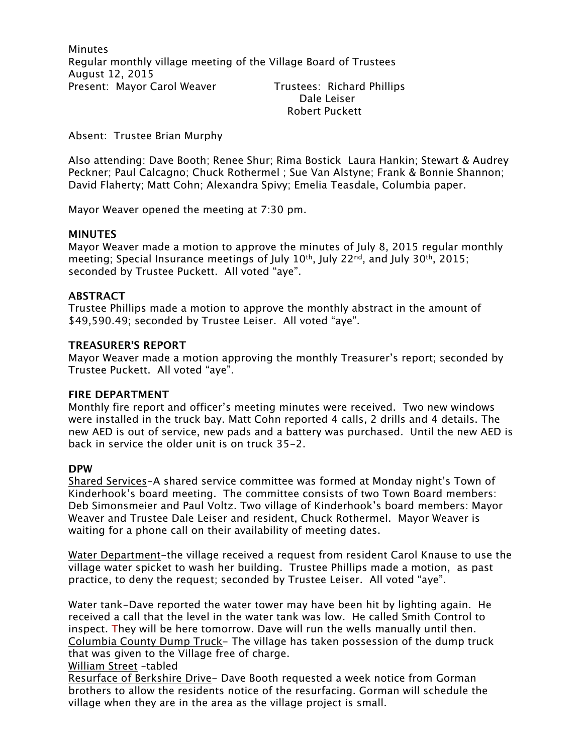**Minutes** Regular monthly village meeting of the Village Board of Trustees August 12, 2015 Present: Mayor Carol Weaver Trustees: Richard Phillips Dale Leiser

Robert Puckett

Absent: Trustee Brian Murphy

Also attending: Dave Booth; Renee Shur; Rima Bostick Laura Hankin; Stewart & Audrey Peckner; Paul Calcagno; Chuck Rothermel ; Sue Van Alstyne; Frank & Bonnie Shannon; David Flaherty; Matt Cohn; Alexandra Spivy; Emelia Teasdale, Columbia paper.

Mayor Weaver opened the meeting at 7:30 pm.

### **MINUTES**

Mayor Weaver made a motion to approve the minutes of July 8, 2015 regular monthly meeting; Special Insurance meetings of July  $10^{th}$ , July  $22^{nd}$ , and July  $30^{th}$ ,  $2015$ ; seconded by Trustee Puckett. All voted "aye".

### **ABSTRACT**

Trustee Phillips made a motion to approve the monthly abstract in the amount of \$49,590.49; seconded by Trustee Leiser. All voted "aye".

### **TREASURER'S REPORT**

Mayor Weaver made a motion approving the monthly Treasurer's report; seconded by Trustee Puckett. All voted "aye".

#### **FIRE DEPARTMENT**

Monthly fire report and officer's meeting minutes were received. Two new windows were installed in the truck bay. Matt Cohn reported 4 calls, 2 drills and 4 details. The new AED is out of service, new pads and a battery was purchased. Until the new AED is back in service the older unit is on truck 35-2.

#### **DPW**

Shared Services-A shared service committee was formed at Monday night's Town of Kinderhook's board meeting. The committee consists of two Town Board members: Deb Simonsmeier and Paul Voltz. Two village of Kinderhook's board members: Mayor Weaver and Trustee Dale Leiser and resident, Chuck Rothermel. Mayor Weaver is waiting for a phone call on their availability of meeting dates.

Water Department-the village received a request from resident Carol Knause to use the village water spicket to wash her building. Trustee Phillips made a motion, as past practice, to deny the request; seconded by Trustee Leiser. All voted "aye".

Water tank-Dave reported the water tower may have been hit by lighting again. He received a call that the level in the water tank was low. He called Smith Control to inspect. They will be here tomorrow. Dave will run the wells manually until then. Columbia County Dump Truck- The village has taken possession of the dump truck that was given to the Village free of charge.

#### William Street –tabled

Resurface of Berkshire Drive- Dave Booth requested a week notice from Gorman brothers to allow the residents notice of the resurfacing. Gorman will schedule the village when they are in the area as the village project is small.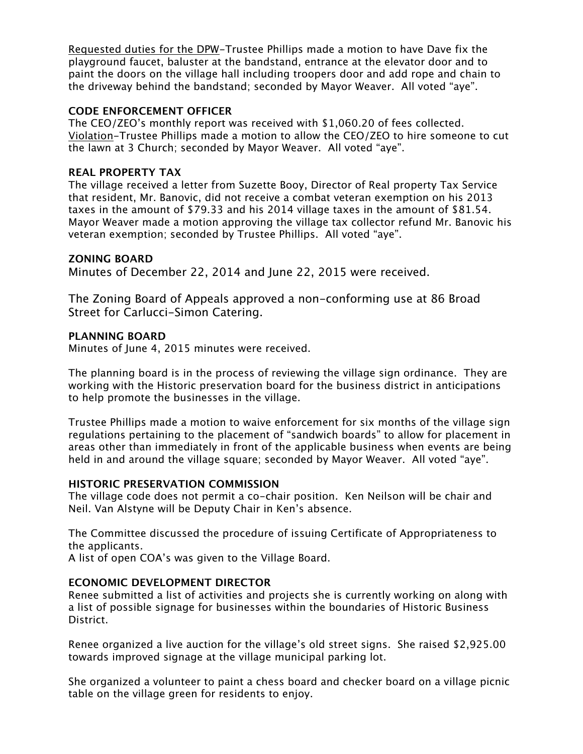Requested duties for the DPW-Trustee Phillips made a motion to have Dave fix the playground faucet, baluster at the bandstand, entrance at the elevator door and to paint the doors on the village hall including troopers door and add rope and chain to the driveway behind the bandstand; seconded by Mayor Weaver. All voted "aye".

### **CODE ENFORCEMENT OFFICER**

The CEO/ZEO's monthly report was received with \$1,060.20 of fees collected. Violation-Trustee Phillips made a motion to allow the CEO/ZEO to hire someone to cut the lawn at 3 Church; seconded by Mayor Weaver. All voted "aye".

# **REAL PROPERTY TAX**

The village received a letter from Suzette Booy, Director of Real property Tax Service that resident, Mr. Banovic, did not receive a combat veteran exemption on his 2013 taxes in the amount of \$79.33 and his 2014 village taxes in the amount of \$81.54. Mayor Weaver made a motion approving the village tax collector refund Mr. Banovic his veteran exemption; seconded by Trustee Phillips. All voted "aye".

# **ZONING BOARD**

Minutes of December 22, 2014 and June 22, 2015 were received.

The Zoning Board of Appeals approved a non-conforming use at 86 Broad Street for Carlucci-Simon Catering.

### **PLANNING BOARD**

Minutes of June 4, 2015 minutes were received.

The planning board is in the process of reviewing the village sign ordinance. They are working with the Historic preservation board for the business district in anticipations to help promote the businesses in the village.

Trustee Phillips made a motion to waive enforcement for six months of the village sign regulations pertaining to the placement of "sandwich boards" to allow for placement in areas other than immediately in front of the applicable business when events are being held in and around the village square; seconded by Mayor Weaver. All voted "aye".

#### **HISTORIC PRESERVATION COMMISSION**

The village code does not permit a co-chair position. Ken Neilson will be chair and Neil. Van Alstyne will be Deputy Chair in Ken's absence.

The Committee discussed the procedure of issuing Certificate of Appropriateness to the applicants.

A list of open COA's was given to the Village Board.

# **ECONOMIC DEVELOPMENT DIRECTOR**

Renee submitted a list of activities and projects she is currently working on along with a list of possible signage for businesses within the boundaries of Historic Business District.

Renee organized a live auction for the village's old street signs. She raised \$2,925.00 towards improved signage at the village municipal parking lot.

She organized a volunteer to paint a chess board and checker board on a village picnic table on the village green for residents to enjoy.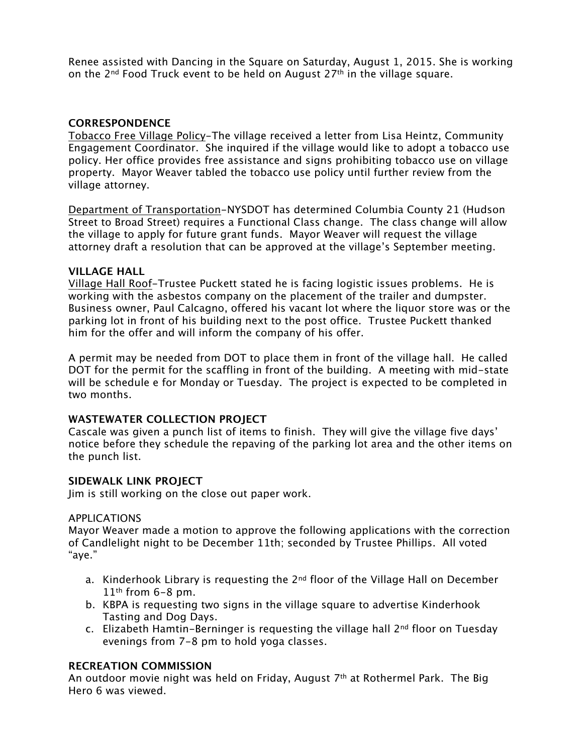Renee assisted with Dancing in the Square on Saturday, August 1, 2015. She is working on the 2<sup>nd</sup> Food Truck event to be held on August 27<sup>th</sup> in the village square.

# **CORRESPONDENCE**

Tobacco Free Village Policy-The village received a letter from Lisa Heintz, Community Engagement Coordinator. She inquired if the village would like to adopt a tobacco use policy. Her office provides free assistance and signs prohibiting tobacco use on village property. Mayor Weaver tabled the tobacco use policy until further review from the village attorney.

Department of Transportation-NYSDOT has determined Columbia County 21 (Hudson Street to Broad Street) requires a Functional Class change. The class change will allow the village to apply for future grant funds. Mayor Weaver will request the village attorney draft a resolution that can be approved at the village's September meeting.

#### **VILLAGE HALL**

Village Hall Roof-Trustee Puckett stated he is facing logistic issues problems. He is working with the asbestos company on the placement of the trailer and dumpster. Business owner, Paul Calcagno, offered his vacant lot where the liquor store was or the parking lot in front of his building next to the post office. Trustee Puckett thanked him for the offer and will inform the company of his offer.

A permit may be needed from DOT to place them in front of the village hall. He called DOT for the permit for the scaffling in front of the building. A meeting with mid-state will be schedule e for Monday or Tuesday. The project is expected to be completed in two months.

# **WASTEWATER COLLECTION PROJECT**

Cascale was given a punch list of items to finish. They will give the village five days' notice before they schedule the repaving of the parking lot area and the other items on the punch list.

# **SIDEWALK LINK PROJECT**

Jim is still working on the close out paper work.

# APPLICATIONS

Mayor Weaver made a motion to approve the following applications with the correction of Candlelight night to be December 11th; seconded by Trustee Phillips. All voted "aye."

- a. Kinderhook Library is requesting the  $2<sup>nd</sup>$  floor of the Village Hall on December  $11<sup>th</sup>$  from 6-8 pm.
- b. KBPA is requesting two signs in the village square to advertise Kinderhook Tasting and Dog Days.
- c. Elizabeth Hamtin-Berninger is requesting the village hall  $2<sup>nd</sup>$  floor on Tuesday evenings from 7-8 pm to hold yoga classes.

#### **RECREATION COMMISSION**

An outdoor movie night was held on Friday, August  $7<sup>th</sup>$  at Rothermel Park. The Big Hero 6 was viewed.